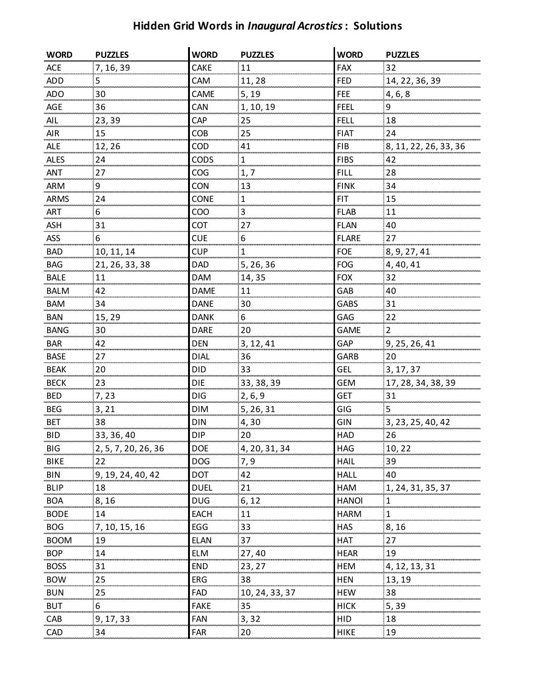## **Hidden Grid Words in** *Inaugural Acrostics***: Solutions**

| <b>WORD</b> | <b>PUZZLES</b>      | <b>WORD</b> | <b>PUZZLES</b> | <b>WORD</b>  | <b>PUZZLES</b>        |
|-------------|---------------------|-------------|----------------|--------------|-----------------------|
| ACE         | 7, 16, 39           | CAKE        | 11             | <b>FAX</b>   | 32                    |
| <b>ADD</b>  | 5                   | CAM         | 11,28          | <b>FED</b>   | 14, 22, 36, 39        |
| ADO         | 30                  | CAME        | 5, 19          | <b>FEE</b>   | 4, 6, 8               |
| AGE         | 36                  | CAN         | 1, 10, 19      | <b>FEEL</b>  | 9                     |
| AIL         | 23,39               | CAP         | 25             | <b>FELL</b>  | 18                    |
| <b>AIR</b>  | 15                  | <b>COB</b>  | 25             | <b>FIAT</b>  | 24                    |
| ALE         | 12,26               | COD         | 41             | <b>FIB</b>   | 8, 11, 22, 26, 33, 36 |
| <b>ALES</b> | 24                  | <b>CODS</b> | 1              | <b>FIBS</b>  | 42                    |
| ANT         | 27                  | COG         | 1, 7           | <b>FILL</b>  | 28                    |
| <b>ARM</b>  | 9                   | <b>CON</b>  | 13             | <b>FINK</b>  | 34                    |
| ARMS        | 24                  | CONE        | $\mathbf 1$    | <b>FIT</b>   | 15                    |
| <b>ART</b>  | 6                   | COO         | 3              | <b>FLAB</b>  | 11                    |
| <b>ASH</b>  | 31                  | COT         | 27             | <b>FLAN</b>  | 40                    |
| <b>ASS</b>  | 6                   | <b>CUE</b>  | 6              | <b>FLARE</b> | 27                    |
| BAD         | 10, 11, 14          | <b>CUP</b>  |                | <b>FOE</b>   | 8, 9, 27, 41          |
| <b>BAG</b>  | 21, 26, 33, 38      | <b>DAD</b>  | 5, 26, 36      | <b>FOG</b>   | 4, 40, 41             |
| BALE        | 11                  | <b>DAM</b>  | 14,35          | <b>FOX</b>   | 32                    |
| <b>BALM</b> | 42                  | <b>DAME</b> | 11             | GAB          | 40                    |
| <b>BAM</b>  | 34                  | <b>DANE</b> | 30             | GABS         | 31                    |
| <b>BAN</b>  | 15,29               | <b>DANK</b> | 6              | GAG          | 22                    |
| <b>BANG</b> | 30                  | <b>DARE</b> | 20             | <b>GAME</b>  | $\overline{2}$        |
| <b>BAR</b>  | 42                  | <b>DEN</b>  | 3, 12, 41      | <b>GAP</b>   | 9, 25, 26, 41         |
| <b>BASE</b> | 27                  | <b>DIAL</b> | 36             | <b>GARB</b>  | 20                    |
| <b>BEAK</b> | 20                  | <b>DID</b>  | 33             | <b>GEL</b>   | 3, 17, 37             |
| <b>BECK</b> | 23                  | <b>DIE</b>  | 33, 38, 39     | <b>GEM</b>   | 17, 28, 34, 38, 39    |
| <b>BED</b>  | 7,23                | DIG         | 2, 6, 9        | <b>GET</b>   | 31                    |
| <b>BEG</b>  | 3, 21               | DIM         | 5, 26, 31      | GIG          | 5                     |
| <b>BET</b>  | 38                  | DIN         | 4,30           | GIN          | 3, 23, 25, 40, 42     |
| <b>BID</b>  | 33, 36, 40          | <b>DIP</b>  | 20             | <b>HAD</b>   | 26                    |
| <b>BIG</b>  | 2, 5, 7, 20, 26, 36 | <b>DOE</b>  | 4, 20, 31, 34  | <b>HAG</b>   | 10,22                 |
| <b>BIKE</b> | 22                  | DOG         | 7,9            | <b>HAIL</b>  | 39                    |
| <b>BIN</b>  | 9, 19, 24, 40, 42   | DOT         | 42             | <b>HALL</b>  | 40                    |
| BLIP        | 18                  | DUEL        | 21             | <b>HAM</b>   | 1, 24, 31, 35, 37     |
| <b>BOA</b>  | 8, 16               | DUG         | 6, 12          | <b>HANOI</b> | : 1                   |
| <b>BODE</b> | 14                  | EACH        | $11\,$         | <b>HARM</b>  | $\mathbf{1}$          |
| <b>BOG</b>  | 7, 10, 15, 16       | EGG         | 33             | <b>HAS</b>   | 8,16                  |
| <b>BOOM</b> | 19                  | <b>ELAN</b> | 37             | <b>HAT</b>   | 27                    |
| <b>BOP</b>  | 14                  | <b>ELM</b>  | 27,40          | <b>HEAR</b>  | 19                    |
| <b>BOSS</b> | 31                  | END         | 23, 27         | <b>HEM</b>   | 4, 12, 13, 31         |
| <b>BOW</b>  | 25                  | ERG         | 38             | <b>HEN</b>   | 13, 19                |
| <b>BUN</b>  | 25                  | FAD         | 10, 24, 33, 37 | <b>HEW</b>   | 38                    |
| <b>BUT</b>  | 6                   | <b>FAKE</b> | 35             | <b>HICK</b>  | 5,39                  |
| CAB         | 9, 17, 33           | <b>FAN</b>  | 3,32           | <b>HID</b>   | 18                    |
| CAD         | 34                  | <b>FAR</b>  | 20             | <b>HIKE</b>  | 19                    |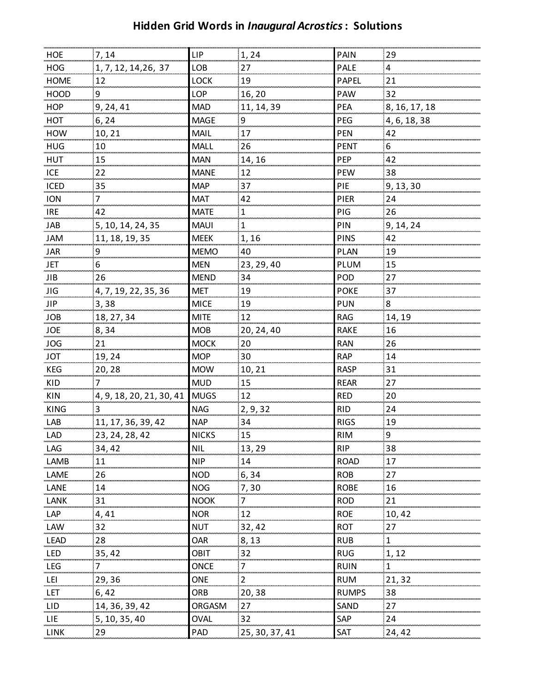## **Hidden Grid Words in** *Inaugural Acrostics***: Solutions**

| HOE         | 7,14                     | LIP          | 1, 24          | <b>PAIN</b>  | 29            |
|-------------|--------------------------|--------------|----------------|--------------|---------------|
| <b>HOG</b>  | 1, 7, 12, 14, 26, 37     | LOB          | 27             | PALE         | 4             |
| <b>HOME</b> | 12                       | LOCK         | 19             | <b>PAPEL</b> | 21            |
| <b>HOOD</b> | 9                        | LOP          | 16, 20         | PAW          | 32            |
| <b>HOP</b>  | 9, 24, 41                | <b>MAD</b>   | 11, 14, 39     | PEA          | 8, 16, 17, 18 |
| HOT         | 6, 24                    | <b>MAGE</b>  | 9              | PEG          | 4, 6, 18, 38  |
| HOW         | 10, 21                   | MAIL         | 17             | <b>PEN</b>   | 42            |
| <b>HUG</b>  | 10                       | MALL         | 26             | <b>PENT</b>  | 6             |
| <b>HUT</b>  | 15                       | <b>MAN</b>   | 14, 16         | PEP          | 42            |
| ICE         | 22                       | <b>MANE</b>  | 12             | <b>PEW</b>   | 38            |
| ICED        | 35                       | <b>MAP</b>   | 37             | PIE          | 9, 13, 30     |
| <b>ION</b>  | 7                        | <b>MAT</b>   | 42             | PIER         | 24            |
| <b>IRE</b>  | 42                       | <b>MATE</b>  | $\mathbf 1$    | PIG          | 26            |
| JAB         | 5, 10, 14, 24, 35        | <b>MAUI</b>  | $\mathbf{1}$   | PIN          | 9, 14, 24     |
| JAM         | 11, 18, 19, 35           | <b>MEEK</b>  | 1, 16          | <b>PINS</b>  | 42            |
| JAR         | 9                        | <b>MEMO</b>  | 40             | PLAN         | 19            |
| JET         | 6                        | <b>MEN</b>   | 23, 29, 40     | PLUM         | 15            |
| JIB         | 26                       | <b>MEND</b>  | 34             | POD          | 27            |
| JIG         | 4, 7, 19, 22, 35, 36     | <b>MET</b>   | 19             | <b>POKE</b>  | 37            |
| <b>JIP</b>  | 3,38                     | <b>MICE</b>  | 19             | <b>PUN</b>   | 8             |
| <b>JOB</b>  | 18, 27, 34               | <b>MITE</b>  | 12             | <b>RAG</b>   | 14, 19        |
| <b>JOE</b>  | 8,34                     | <b>MOB</b>   | 20, 24, 40     | <b>RAKE</b>  | 16            |
| <b>JOG</b>  | 21                       | <b>MOCK</b>  | 20             | <b>RAN</b>   | 26            |
| JOT         | 19,24                    | <b>MOP</b>   | 30             | <b>RAP</b>   | 14            |
| KEG         | 20,28                    | <b>MOW</b>   | 10,21          | <b>RASP</b>  | 31            |
| KID         | 7                        | <b>MUD</b>   | 15             | <b>REAR</b>  | 27            |
| <b>KIN</b>  | 4, 9, 18, 20, 21, 30, 41 | <b>MUGS</b>  | 12             | <b>RED</b>   | 20            |
| <b>KING</b> | 3                        | <b>NAG</b>   | 2, 9, 32       | <b>RID</b>   | 24            |
| LAB         | 11, 17, 36, 39, 42       | <b>NAP</b>   | 34             | <b>RIGS</b>  | 19            |
| <b>LAD</b>  | 23, 24, 28, 42           | <b>NICKS</b> | 15             | <b>RIM</b>   | 9             |
| LAG         | 34, 42                   | NIL.         | 13, 29         | <b>RIP</b>   | 38            |
| LAMB        | 11                       | <b>NIP</b>   | 14             | <b>ROAD</b>  | 17            |
| LAME        | 26                       | <b>NOD</b>   | 6,34           | <b>ROB</b>   | 27            |
| LANE        | 14                       | <b>NOG</b>   | 7, 30          | <b>ROBE</b>  | 16            |
| LANK        | 31                       | <b>NOOK</b>  | 7              | <b>ROD</b>   | 21            |
| LAP         | 4,41                     | <b>NOR</b>   | 12             | <b>ROE</b>   | 10,42         |
| LAW         | 32                       | <b>NUT</b>   | 32,42          | <b>ROT</b>   | 27            |
| <b>LEAD</b> | 28                       | OAR          | 8,13           | <b>RUB</b>   | 1             |
| LED         | 35,42                    | <b>OBIT</b>  | 32             | <b>RUG</b>   | 1, 12         |
| LEG         | 7                        | ONCE         |                | <b>RUIN</b>  | 1             |
| LEI         | 29,36                    | ONE          |                | <b>RUM</b>   | 21,32         |
| <b>LET</b>  | 6,42                     | ORB          | 20,38          | <b>RUMPS</b> | 38            |
| LID         | 14, 36, 39, 42           | ORGASM       | 27             | SAND         | 27            |
| LIE         | 5, 10, 35, 40            | OVAL         | 32             | SAP          | 24            |
| LINK        | 29                       | PAD          | 25, 30, 37, 41 | SAT          | 24,42         |
|             |                          |              |                |              |               |